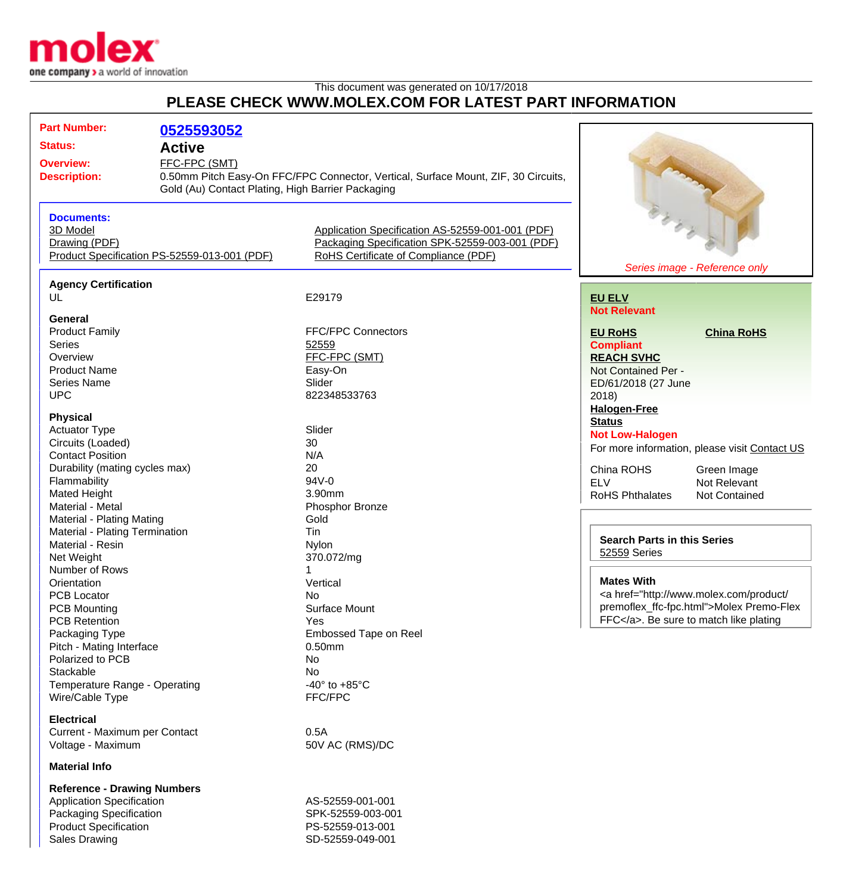

## This document was generated on 10/17/2018 **PLEASE CHECK WWW.MOLEX.COM FOR LATEST PART INFORMATION**

| <b>Part Number:</b>                          |                                                   |                                                                                    |                                                                                                                                                                                                                                                                                                                                                                                                              |                                               |
|----------------------------------------------|---------------------------------------------------|------------------------------------------------------------------------------------|--------------------------------------------------------------------------------------------------------------------------------------------------------------------------------------------------------------------------------------------------------------------------------------------------------------------------------------------------------------------------------------------------------------|-----------------------------------------------|
|                                              | 0525593052                                        |                                                                                    |                                                                                                                                                                                                                                                                                                                                                                                                              |                                               |
| <b>Status:</b><br><b>Active</b>              |                                                   |                                                                                    |                                                                                                                                                                                                                                                                                                                                                                                                              |                                               |
| FFC-FPC (SMT)<br><b>Overview:</b>            |                                                   |                                                                                    |                                                                                                                                                                                                                                                                                                                                                                                                              |                                               |
| <b>Description:</b>                          |                                                   | 0.50mm Pitch Easy-On FFC/FPC Connector, Vertical, Surface Mount, ZIF, 30 Circuits, |                                                                                                                                                                                                                                                                                                                                                                                                              |                                               |
|                                              | Gold (Au) Contact Plating, High Barrier Packaging |                                                                                    |                                                                                                                                                                                                                                                                                                                                                                                                              |                                               |
|                                              |                                                   |                                                                                    | March 1999                                                                                                                                                                                                                                                                                                                                                                                                   |                                               |
| <b>Documents:</b>                            |                                                   |                                                                                    |                                                                                                                                                                                                                                                                                                                                                                                                              |                                               |
| 3D Model                                     |                                                   | Application Specification AS-52559-001-001 (PDF)                                   |                                                                                                                                                                                                                                                                                                                                                                                                              |                                               |
| Drawing (PDF)                                |                                                   | Packaging Specification SPK-52559-003-001 (PDF)                                    |                                                                                                                                                                                                                                                                                                                                                                                                              |                                               |
| Product Specification PS-52559-013-001 (PDF) |                                                   | RoHS Certificate of Compliance (PDF)                                               |                                                                                                                                                                                                                                                                                                                                                                                                              |                                               |
|                                              |                                                   |                                                                                    | Series image - Reference only                                                                                                                                                                                                                                                                                                                                                                                |                                               |
|                                              |                                                   |                                                                                    |                                                                                                                                                                                                                                                                                                                                                                                                              |                                               |
| <b>Agency Certification</b>                  |                                                   |                                                                                    |                                                                                                                                                                                                                                                                                                                                                                                                              |                                               |
| UL                                           |                                                   | E29179                                                                             | <b>EU ELV</b>                                                                                                                                                                                                                                                                                                                                                                                                |                                               |
| <b>General</b>                               |                                                   |                                                                                    | <b>Not Relevant</b>                                                                                                                                                                                                                                                                                                                                                                                          |                                               |
|                                              |                                                   | <b>FFC/FPC Connectors</b>                                                          | <b>EU RoHS</b>                                                                                                                                                                                                                                                                                                                                                                                               |                                               |
| <b>Product Family</b><br><b>Series</b>       |                                                   |                                                                                    |                                                                                                                                                                                                                                                                                                                                                                                                              | <b>China RoHS</b>                             |
| Overview                                     |                                                   | 52559                                                                              | <b>Compliant</b>                                                                                                                                                                                                                                                                                                                                                                                             |                                               |
|                                              |                                                   | FFC-FPC (SMT)                                                                      | <b>REACH SVHC</b>                                                                                                                                                                                                                                                                                                                                                                                            |                                               |
| <b>Product Name</b>                          |                                                   | Easy-On                                                                            | Not Contained Per -                                                                                                                                                                                                                                                                                                                                                                                          |                                               |
| <b>Series Name</b>                           |                                                   | Slider                                                                             | ED/61/2018 (27 June                                                                                                                                                                                                                                                                                                                                                                                          |                                               |
| <b>UPC</b>                                   |                                                   | 822348533763                                                                       | 2018                                                                                                                                                                                                                                                                                                                                                                                                         |                                               |
| <b>Physical</b>                              |                                                   |                                                                                    | <b>Halogen-Free</b>                                                                                                                                                                                                                                                                                                                                                                                          |                                               |
| <b>Actuator Type</b>                         |                                                   | Slider                                                                             | <b>Status</b>                                                                                                                                                                                                                                                                                                                                                                                                |                                               |
|                                              |                                                   | 30                                                                                 | <b>Not Low-Halogen</b>                                                                                                                                                                                                                                                                                                                                                                                       |                                               |
| Circuits (Loaded)<br><b>Contact Position</b> |                                                   | N/A                                                                                |                                                                                                                                                                                                                                                                                                                                                                                                              | For more information, please visit Contact US |
|                                              |                                                   |                                                                                    |                                                                                                                                                                                                                                                                                                                                                                                                              |                                               |
| Durability (mating cycles max)               |                                                   | 20<br>94V-0                                                                        | China ROHS                                                                                                                                                                                                                                                                                                                                                                                                   | Green Image                                   |
| Flammability                                 |                                                   |                                                                                    | <b>ELV</b>                                                                                                                                                                                                                                                                                                                                                                                                   | Not Relevant                                  |
| Mated Height                                 |                                                   | 3.90 <sub>mm</sub>                                                                 | <b>RoHS Phthalates</b>                                                                                                                                                                                                                                                                                                                                                                                       | Not Contained                                 |
| Material - Metal                             |                                                   | Phosphor Bronze                                                                    |                                                                                                                                                                                                                                                                                                                                                                                                              |                                               |
| Material - Plating Mating                    |                                                   | Gold                                                                               |                                                                                                                                                                                                                                                                                                                                                                                                              |                                               |
| Material - Plating Termination               |                                                   | Tin                                                                                | <b>Search Parts in this Series</b><br>52559 Series                                                                                                                                                                                                                                                                                                                                                           |                                               |
| Material - Resin                             |                                                   | <b>Nylon</b>                                                                       |                                                                                                                                                                                                                                                                                                                                                                                                              |                                               |
| Net Weight                                   |                                                   | 370.072/mg                                                                         |                                                                                                                                                                                                                                                                                                                                                                                                              |                                               |
| Number of Rows                               |                                                   |                                                                                    |                                                                                                                                                                                                                                                                                                                                                                                                              |                                               |
| Orientation                                  |                                                   | Vertical                                                                           | <b>Mates With</b><br><a href="http://www.molex.com/product/&lt;/td&gt;&lt;/tr&gt;&lt;tr&gt;&lt;td colspan=2&gt;&lt;b&gt;PCB Locator&lt;/b&gt;&lt;/td&gt;&lt;td&gt;No&lt;/td&gt;&lt;/tr&gt;&lt;tr&gt;&lt;td colspan=2&gt;&lt;b&gt;PCB Mounting&lt;/b&gt;&lt;/td&gt;&lt;td&gt;Surface Mount&lt;/td&gt;&lt;td colspan=2&gt;premoflex_ffc-fpc.html">Molex Premo-Flex<br/>FFC</a> . Be sure to match like plating |                                               |
| <b>PCB Retention</b>                         |                                                   | Yes                                                                                |                                                                                                                                                                                                                                                                                                                                                                                                              |                                               |
| Packaging Type                               |                                                   | Embossed Tape on Reel                                                              |                                                                                                                                                                                                                                                                                                                                                                                                              |                                               |
| Pitch - Mating Interface                     |                                                   | $0.50$ mm                                                                          |                                                                                                                                                                                                                                                                                                                                                                                                              |                                               |
| Polarized to PCB                             |                                                   | No                                                                                 |                                                                                                                                                                                                                                                                                                                                                                                                              |                                               |
| Stackable                                    |                                                   | No                                                                                 |                                                                                                                                                                                                                                                                                                                                                                                                              |                                               |
| Temperature Range - Operating                |                                                   | $-40^\circ$ to $+85^\circ$ C                                                       |                                                                                                                                                                                                                                                                                                                                                                                                              |                                               |
| Wire/Cable Type                              |                                                   | FFC/FPC                                                                            |                                                                                                                                                                                                                                                                                                                                                                                                              |                                               |
| <b>Electrical</b>                            |                                                   |                                                                                    |                                                                                                                                                                                                                                                                                                                                                                                                              |                                               |
| Current - Maximum per Contact                |                                                   |                                                                                    |                                                                                                                                                                                                                                                                                                                                                                                                              |                                               |
|                                              |                                                   | 0.5A                                                                               |                                                                                                                                                                                                                                                                                                                                                                                                              |                                               |
| Voltage - Maximum                            |                                                   | 50V AC (RMS)/DC                                                                    |                                                                                                                                                                                                                                                                                                                                                                                                              |                                               |
| <b>Material Info</b>                         |                                                   |                                                                                    |                                                                                                                                                                                                                                                                                                                                                                                                              |                                               |
| Reference - Drawing Numbers                  |                                                   |                                                                                    |                                                                                                                                                                                                                                                                                                                                                                                                              |                                               |

**Reference - Drawing Numbers** Application Specification AS-52559-001-001 Packaging Specification SPK-52559-003-001 Product Specification<br>
Sales Drawing<br>
Sales Drawing<br>
PS-52559-049-001

SD-52559-049-001